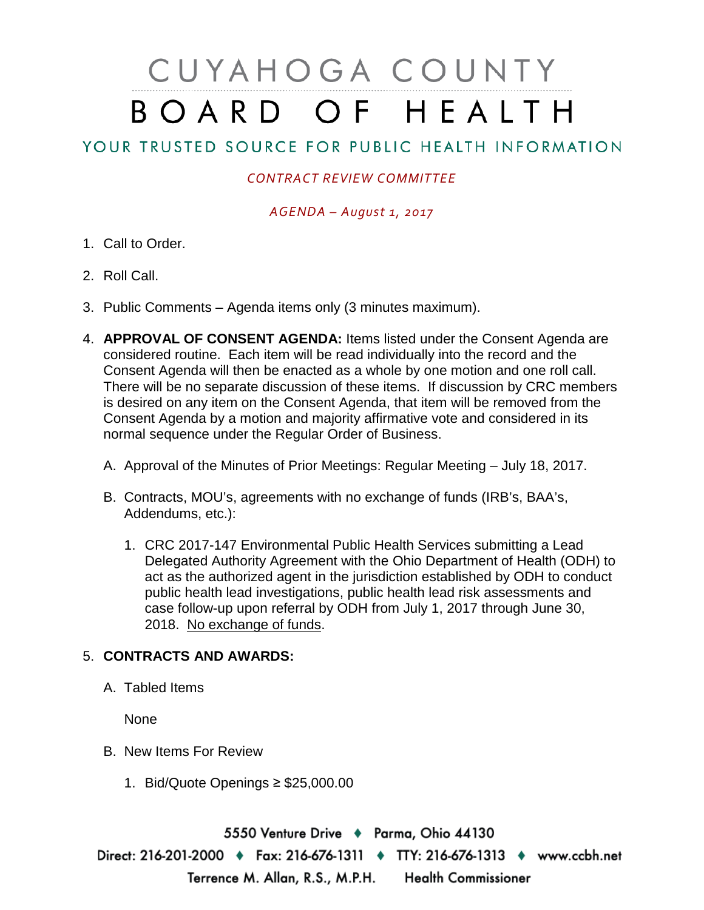# CUYAHOGA COUNTY BOARD OF HEALTH

## YOUR TRUSTED SOURCE FOR PUBLIC HEALTH INFORMATION

### *CONTRACT REVIEW COMMITTEE*

#### *AGENDA – August 1, 2017*

- 1. Call to Order.
- 2. Roll Call.
- 3. Public Comments Agenda items only (3 minutes maximum).
- 4. **APPROVAL OF CONSENT AGENDA:** Items listed under the Consent Agenda are considered routine. Each item will be read individually into the record and the Consent Agenda will then be enacted as a whole by one motion and one roll call. There will be no separate discussion of these items. If discussion by CRC members is desired on any item on the Consent Agenda, that item will be removed from the Consent Agenda by a motion and majority affirmative vote and considered in its normal sequence under the Regular Order of Business.
	- A. Approval of the Minutes of Prior Meetings: Regular Meeting July 18, 2017.
	- B. Contracts, MOU's, agreements with no exchange of funds (IRB's, BAA's, Addendums, etc.):
		- 1. CRC 2017-147 Environmental Public Health Services submitting a Lead Delegated Authority Agreement with the Ohio Department of Health (ODH) to act as the authorized agent in the jurisdiction established by ODH to conduct public health lead investigations, public health lead risk assessments and case follow-up upon referral by ODH from July 1, 2017 through June 30, 2018. No exchange of funds.

#### 5. **CONTRACTS AND AWARDS:**

A. Tabled Items

None

- B. New Items For Review
	- 1. Bid/Quote Openings ≥ \$25,000.00

5550 Venture Drive + Parma, Ohio 44130 Direct: 216-201-2000 • Fax: 216-676-1311 • TTY: 216-676-1313 • www.ccbh.net Terrence M. Allan, R.S., M.P.H. Health Commissioner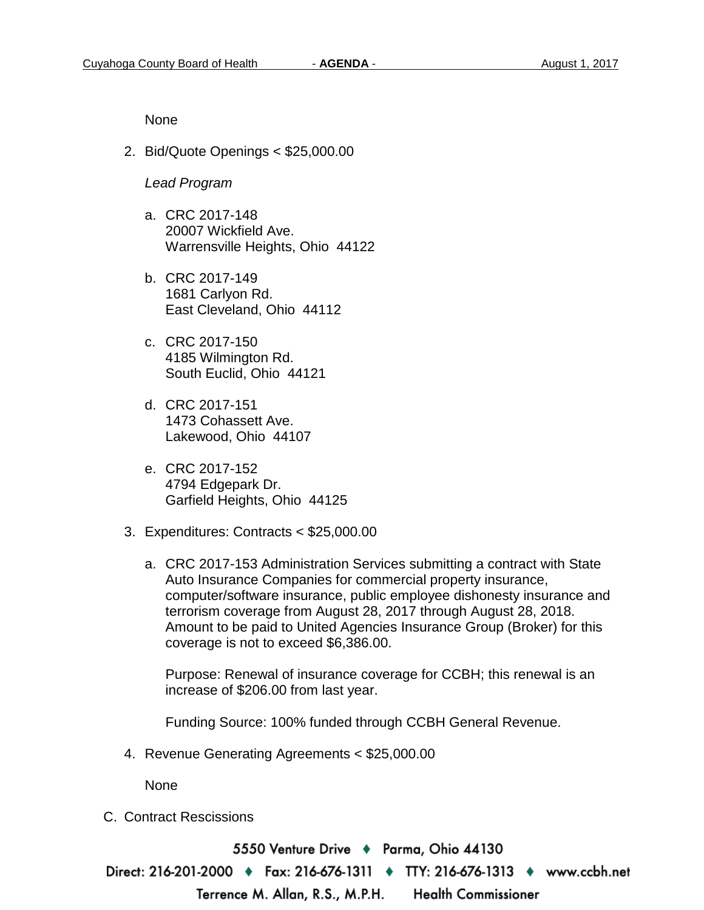None

2. Bid/Quote Openings < \$25,000.00

#### *Lead Program*

- a. CRC 2017-148 20007 Wickfield Ave. Warrensville Heights, Ohio 44122
- b. CRC 2017-149 1681 Carlyon Rd. East Cleveland, Ohio 44112
- c. CRC 2017-150 4185 Wilmington Rd. South Euclid, Ohio 44121
- d. CRC 2017-151 1473 Cohassett Ave. Lakewood, Ohio 44107
- e. CRC 2017-152 4794 Edgepark Dr. Garfield Heights, Ohio 44125
- 3. Expenditures: Contracts < \$25,000.00
	- a. CRC 2017-153 Administration Services submitting a contract with State Auto Insurance Companies for commercial property insurance, computer/software insurance, public employee dishonesty insurance and terrorism coverage from August 28, 2017 through August 28, 2018. Amount to be paid to United Agencies Insurance Group (Broker) for this coverage is not to exceed \$6,386.00.

Purpose: Renewal of insurance coverage for CCBH; this renewal is an increase of \$206.00 from last year.

Funding Source: 100% funded through CCBH General Revenue.

4. Revenue Generating Agreements < \$25,000.00

None

C. Contract Rescissions

5550 Venture Drive ♦ Parma, Ohio 44130 Direct: 216-201-2000 ♦ Fax: 216-676-1311 ♦ TTY: 216-676-1313 ♦ www.ccbh.net Terrence M. Allan, R.S., M.P.H. **Health Commissioner**